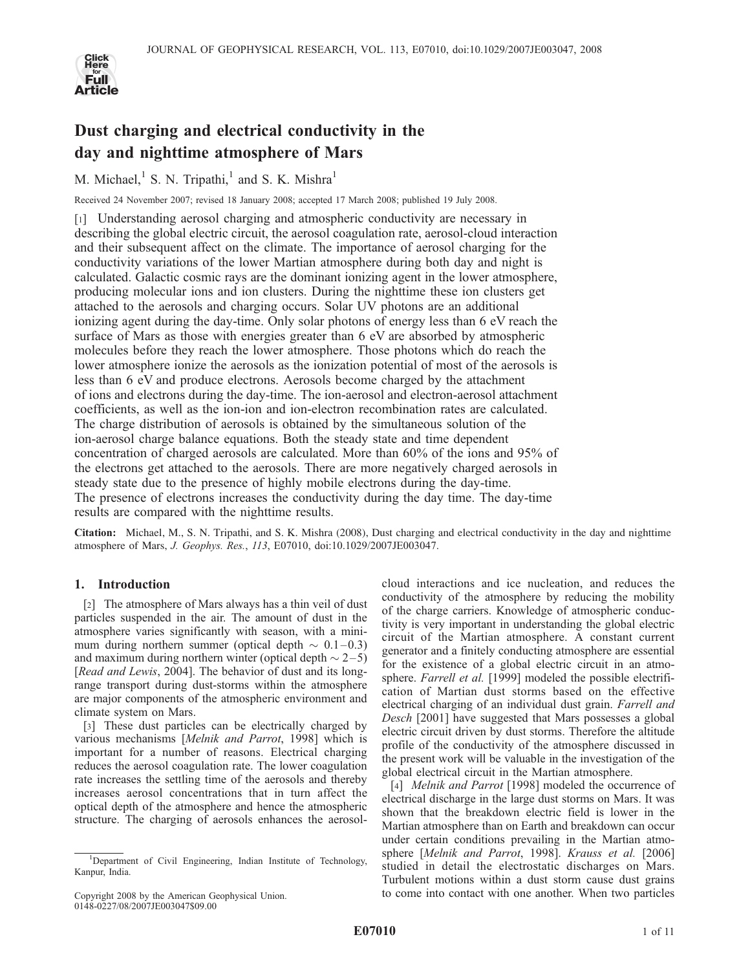

# Dust charging and electrical conductivity in the day and nighttime atmosphere of Mars

M. Michael, $^1$  S. N. Tripathi, $^1$  and S. K. Mishra<sup>1</sup>

Received 24 November 2007; revised 18 January 2008; accepted 17 March 2008; published 19 July 2008.

[1] Understanding aerosol charging and atmospheric conductivity are necessary in describing the global electric circuit, the aerosol coagulation rate, aerosol-cloud interaction and their subsequent affect on the climate. The importance of aerosol charging for the conductivity variations of the lower Martian atmosphere during both day and night is calculated. Galactic cosmic rays are the dominant ionizing agent in the lower atmosphere, producing molecular ions and ion clusters. During the nighttime these ion clusters get attached to the aerosols and charging occurs. Solar UV photons are an additional ionizing agent during the day-time. Only solar photons of energy less than 6 eV reach the surface of Mars as those with energies greater than 6 eV are absorbed by atmospheric molecules before they reach the lower atmosphere. Those photons which do reach the lower atmosphere ionize the aerosols as the ionization potential of most of the aerosols is less than 6 eV and produce electrons. Aerosols become charged by the attachment of ions and electrons during the day-time. The ion-aerosol and electron-aerosol attachment coefficients, as well as the ion-ion and ion-electron recombination rates are calculated. The charge distribution of aerosols is obtained by the simultaneous solution of the ion-aerosol charge balance equations. Both the steady state and time dependent concentration of charged aerosols are calculated. More than 60% of the ions and 95% of the electrons get attached to the aerosols. There are more negatively charged aerosols in steady state due to the presence of highly mobile electrons during the day-time. The presence of electrons increases the conductivity during the day time. The day-time results are compared with the nighttime results.

Citation: Michael, M., S. N. Tripathi, and S. K. Mishra (2008), Dust charging and electrical conductivity in the day and nighttime atmosphere of Mars, J. Geophys. Res., 113, E07010, doi:10.1029/2007JE003047.

# 1. Introduction

[2] The atmosphere of Mars always has a thin veil of dust particles suspended in the air. The amount of dust in the atmosphere varies significantly with season, with a minimum during northern summer (optical depth  $\sim 0.1-0.3$ ) and maximum during northern winter (optical depth  $\sim$  2–5) [Read and Lewis, 2004]. The behavior of dust and its longrange transport during dust-storms within the atmosphere are major components of the atmospheric environment and climate system on Mars.

[3] These dust particles can be electrically charged by various mechanisms [Melnik and Parrot, 1998] which is important for a number of reasons. Electrical charging reduces the aerosol coagulation rate. The lower coagulation rate increases the settling time of the aerosols and thereby increases aerosol concentrations that in turn affect the optical depth of the atmosphere and hence the atmospheric structure. The charging of aerosols enhances the aerosolcloud interactions and ice nucleation, and reduces the conductivity of the atmosphere by reducing the mobility of the charge carriers. Knowledge of atmospheric conductivity is very important in understanding the global electric circuit of the Martian atmosphere. A constant current generator and a finitely conducting atmosphere are essential for the existence of a global electric circuit in an atmosphere. Farrell et al. [1999] modeled the possible electrification of Martian dust storms based on the effective electrical charging of an individual dust grain. Farrell and Desch [2001] have suggested that Mars possesses a global electric circuit driven by dust storms. Therefore the altitude profile of the conductivity of the atmosphere discussed in the present work will be valuable in the investigation of the global electrical circuit in the Martian atmosphere.

[4] *Melnik and Parrot* [1998] modeled the occurrence of electrical discharge in the large dust storms on Mars. It was shown that the breakdown electric field is lower in the Martian atmosphere than on Earth and breakdown can occur under certain conditions prevailing in the Martian atmosphere [Melnik and Parrot, 1998]. Krauss et al. [2006] studied in detail the electrostatic discharges on Mars. Turbulent motions within a dust storm cause dust grains to come into contact with one another. When two particles

<sup>&</sup>lt;sup>1</sup>Department of Civil Engineering, Indian Institute of Technology, Kanpur, India.

Copyright 2008 by the American Geophysical Union. 0148-0227/08/2007JE003047\$09.00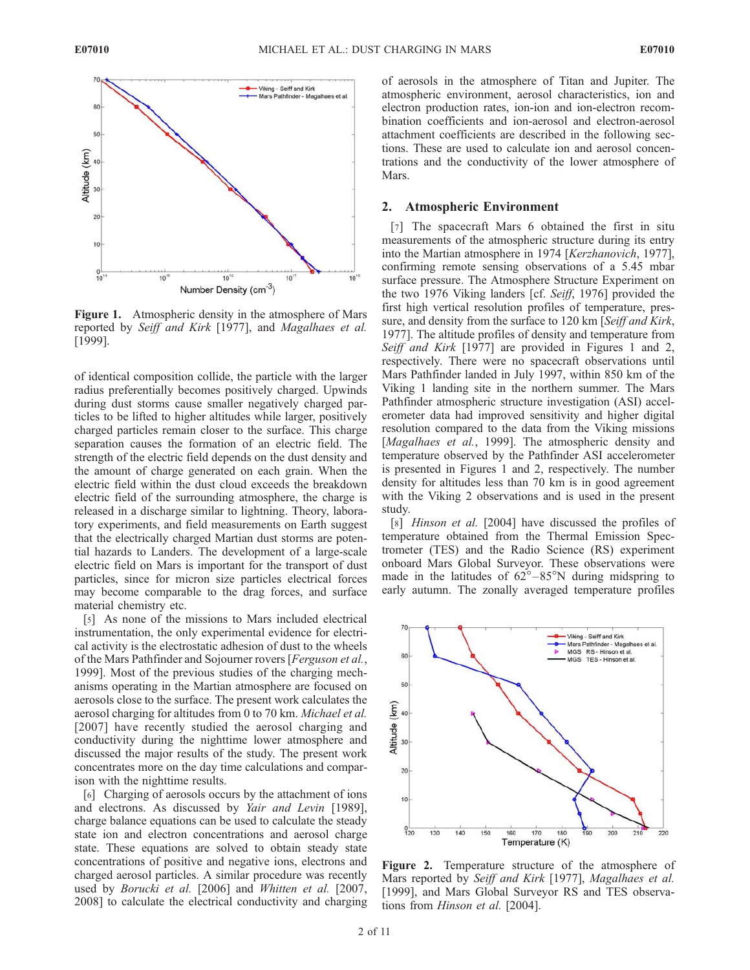

Figure 1. Atmospheric density in the atmosphere of Mars reported by Seiff and Kirk [1977], and Magalhaes et al. [1999].

of identical composition collide, the particle with the larger radius preferentially becomes positively charged. Upwinds during dust storms cause smaller negatively charged particles to be lifted to higher altitudes while larger, positively charged particles remain closer to the surface. This charge separation causes the formation of an electric field. The strength of the electric field depends on the dust density and the amount of charge generated on each grain. When the electric field within the dust cloud exceeds the breakdown electric field of the surrounding atmosphere, the charge is released in a discharge similar to lightning. Theory, laboratory experiments, and field measurements on Earth suggest that the electrically charged Martian dust storms are potential hazards to Landers. The development of a large-scale electric field on Mars is important for the transport of dust particles, since for micron size particles electrical forces may become comparable to the drag forces, and surface material chemistry etc.

[5] As none of the missions to Mars included electrical instrumentation, the only experimental evidence for electrical activity is the electrostatic adhesion of dust to the wheels of the Mars Pathfinder and Sojourner rovers [Ferguson et al., 1999]. Most of the previous studies of the charging mechanisms operating in the Martian atmosphere are focused on aerosols close to the surface. The present work calculates the aerosol charging for altitudes from 0 to 70 km. Michael et al. [2007] have recently studied the aerosol charging and conductivity during the nighttime lower atmosphere and discussed the major results of the study. The present work concentrates more on the day time calculations and comparison with the nighttime results.

[6] Charging of aerosols occurs by the attachment of ions and electrons. As discussed by Yair and Levin [1989], charge balance equations can be used to calculate the steady state ion and electron concentrations and aerosol charge state. These equations are solved to obtain steady state concentrations of positive and negative ions, electrons and charged aerosol particles. A similar procedure was recently used by Borucki et al. [2006] and Whitten et al. [2007, 2008] to calculate the electrical conductivity and charging

of aerosols in the atmosphere of Titan and Jupiter. The atmospheric environment, aerosol characteristics, ion and electron production rates, ion-ion and ion-electron recombination coefficients and ion-aerosol and electron-aerosol attachment coefficients are described in the following sections. These are used to calculate ion and aerosol concentrations and the conductivity of the lower atmosphere of Mars.

## 2. Atmospheric Environment

[7] The spacecraft Mars 6 obtained the first in situ measurements of the atmospheric structure during its entry into the Martian atmosphere in 1974 [Kerzhanovich, 1977], confirming remote sensing observations of a 5.45 mbar surface pressure. The Atmosphere Structure Experiment on the two 1976 Viking landers [cf. Seiff, 1976] provided the first high vertical resolution profiles of temperature, pressure, and density from the surface to 120 km [Seiff and Kirk, 1977]. The altitude profiles of density and temperature from Seiff and Kirk [1977] are provided in Figures 1 and 2, respectively. There were no spacecraft observations until Mars Pathfinder landed in July 1997, within 850 km of the Viking 1 landing site in the northern summer. The Mars Pathfinder atmospheric structure investigation (ASI) accelerometer data had improved sensitivity and higher digital resolution compared to the data from the Viking missions [Magalhaes et al., 1999]. The atmospheric density and temperature observed by the Pathfinder ASI accelerometer is presented in Figures 1 and 2, respectively. The number density for altitudes less than 70 km is in good agreement with the Viking 2 observations and is used in the present study.

[8] *Hinson et al.* [2004] have discussed the profiles of temperature obtained from the Thermal Emission Spectrometer (TES) and the Radio Science (RS) experiment onboard Mars Global Surveyor. These observations were made in the latitudes of  $62^{\circ} - 85^{\circ}$ N during midspring to early autumn. The zonally averaged temperature profiles



Figure 2. Temperature structure of the atmosphere of Mars reported by Seiff and Kirk [1977], Magalhaes et al. [1999], and Mars Global Surveyor RS and TES observations from Hinson et al. [2004].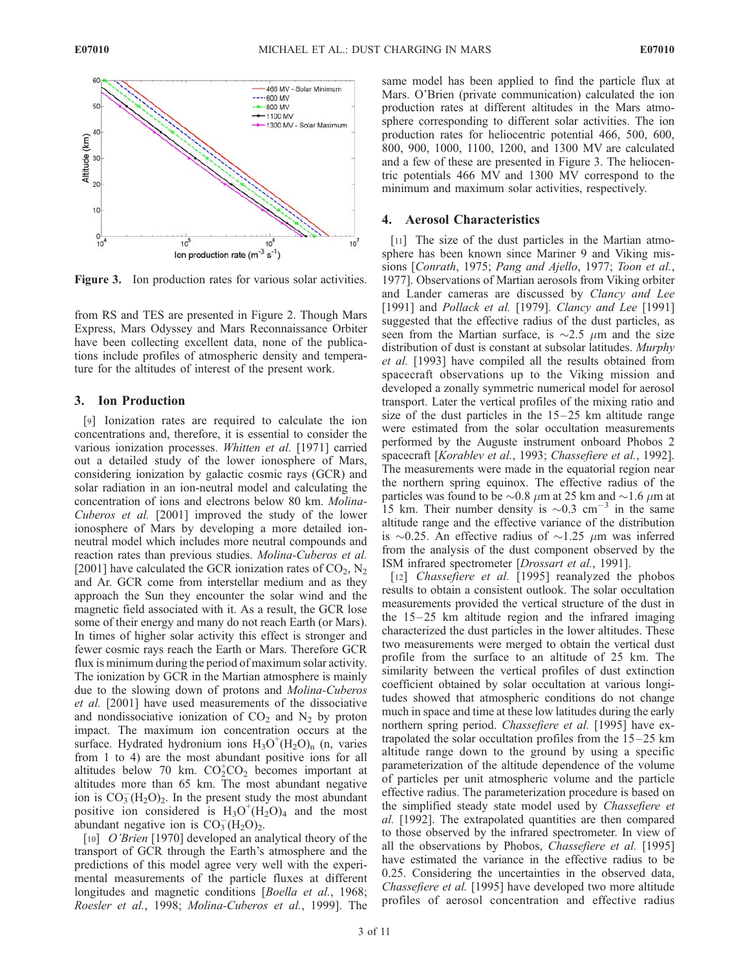

Figure 3. Ion production rates for various solar activities.

from RS and TES are presented in Figure 2. Though Mars Express, Mars Odyssey and Mars Reconnaissance Orbiter have been collecting excellent data, none of the publications include profiles of atmospheric density and temperature for the altitudes of interest of the present work.

# 3. Ion Production

[9] Ionization rates are required to calculate the ion concentrations and, therefore, it is essential to consider the various ionization processes. Whitten et al. [1971] carried out a detailed study of the lower ionosphere of Mars, considering ionization by galactic cosmic rays (GCR) and solar radiation in an ion-neutral model and calculating the concentration of ions and electrons below 80 km. Molina-Cuberos et al. [2001] improved the study of the lower ionosphere of Mars by developing a more detailed ionneutral model which includes more neutral compounds and reaction rates than previous studies. Molina-Cuberos et al. [2001] have calculated the GCR ionization rates of  $CO_2$ ,  $N_2$ and Ar. GCR come from interstellar medium and as they approach the Sun they encounter the solar wind and the magnetic field associated with it. As a result, the GCR lose some of their energy and many do not reach Earth (or Mars). In times of higher solar activity this effect is stronger and fewer cosmic rays reach the Earth or Mars. Therefore GCR flux is minimum during the period of maximum solar activity. The ionization by GCR in the Martian atmosphere is mainly due to the slowing down of protons and Molina-Cuberos et al. [2001] have used measurements of the dissociative and nondissociative ionization of  $CO<sub>2</sub>$  and N<sub>2</sub> by proton impact. The maximum ion concentration occurs at the surface. Hydrated hydronium ions  $H_3O^+(H_2O)$ <sub>n</sub> (n, varies from 1 to 4) are the most abundant positive ions for all altitudes below 70 km.  $CO<sub>2</sub><sup>+</sup>CO<sub>2</sub>$  becomes important at altitudes more than 65 km. The most abundant negative ion is  $CO_3^-(H_2O)_2$ . In the present study the most abundant positive ion considered is  $H_3O^+(H_2O)_4$  and the most abundant negative ion is  $CO_3^-(H_2O)_2$ .

[10] *O'Brien* [1970] developed an analytical theory of the transport of GCR through the Earth's atmosphere and the predictions of this model agree very well with the experimental measurements of the particle fluxes at different longitudes and magnetic conditions [Boella et al., 1968; Roesler et al., 1998; Molina-Cuberos et al., 1999]. The

same model has been applied to find the particle flux at Mars. O'Brien (private communication) calculated the ion production rates at different altitudes in the Mars atmosphere corresponding to different solar activities. The ion production rates for heliocentric potential 466, 500, 600, 800, 900, 1000, 1100, 1200, and 1300 MV are calculated and a few of these are presented in Figure 3. The heliocentric potentials 466 MV and 1300 MV correspond to the minimum and maximum solar activities, respectively.

# 4. Aerosol Characteristics

[11] The size of the dust particles in the Martian atmosphere has been known since Mariner 9 and Viking missions [Conrath, 1975; Pang and Ajello, 1977; Toon et al., 1977]. Observations of Martian aerosols from Viking orbiter and Lander cameras are discussed by Clancy and Lee [1991] and Pollack et al. [1979]. Clancy and Lee [1991] suggested that the effective radius of the dust particles, as seen from the Martian surface, is  $\sim$ 2.5  $\mu$ m and the size distribution of dust is constant at subsolar latitudes. *Murphy* et al. [1993] have compiled all the results obtained from spacecraft observations up to the Viking mission and developed a zonally symmetric numerical model for aerosol transport. Later the vertical profiles of the mixing ratio and size of the dust particles in the  $15-25$  km altitude range were estimated from the solar occultation measurements performed by the Auguste instrument onboard Phobos 2 spacecraft [Korablev et al., 1993; Chassefiere et al., 1992]. The measurements were made in the equatorial region near the northern spring equinox. The effective radius of the particles was found to be  $\sim 0.8 \ \mu m$  at 25 km and  $\sim 1.6 \ \mu m$  at 15 km. Their number density is  $\sim 0.3$  cm<sup>-3</sup> in the same altitude range and the effective variance of the distribution is  $\sim$ 0.25. An effective radius of  $\sim$ 1.25  $\mu$ m was inferred from the analysis of the dust component observed by the ISM infrared spectrometer [Drossart et al., 1991].

[12] *Chassefiere et al.* [1995] reanalyzed the phobos results to obtain a consistent outlook. The solar occultation measurements provided the vertical structure of the dust in the  $15-25$  km altitude region and the infrared imaging characterized the dust particles in the lower altitudes. These two measurements were merged to obtain the vertical dust profile from the surface to an altitude of 25 km. The similarity between the vertical profiles of dust extinction coefficient obtained by solar occultation at various longitudes showed that atmospheric conditions do not change much in space and time at these low latitudes during the early northern spring period. Chassefiere et al. [1995] have extrapolated the solar occultation profiles from the  $15-25$  km altitude range down to the ground by using a specific parameterization of the altitude dependence of the volume of particles per unit atmospheric volume and the particle effective radius. The parameterization procedure is based on the simplified steady state model used by Chassefiere et al. [1992]. The extrapolated quantities are then compared to those observed by the infrared spectrometer. In view of all the observations by Phobos, Chassefiere et al. [1995] have estimated the variance in the effective radius to be 0.25. Considering the uncertainties in the observed data, Chassefiere et al. [1995] have developed two more altitude profiles of aerosol concentration and effective radius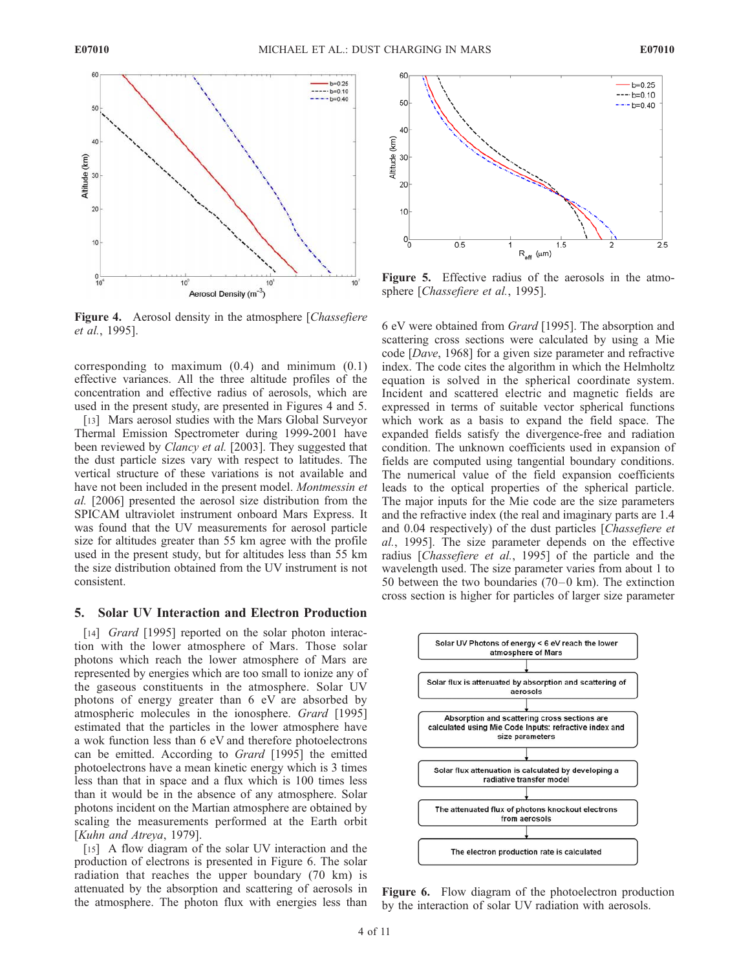

Figure 4. Aerosol density in the atmosphere [Chassefiere] et al., 1995].

corresponding to maximum (0.4) and minimum (0.1) effective variances. All the three altitude profiles of the concentration and effective radius of aerosols, which are used in the present study, are presented in Figures 4 and 5.

[13] Mars aerosol studies with the Mars Global Surveyor Thermal Emission Spectrometer during 1999-2001 have been reviewed by *Clancy et al.* [2003]. They suggested that the dust particle sizes vary with respect to latitudes. The vertical structure of these variations is not available and have not been included in the present model. *Montmessin et* al. [2006] presented the aerosol size distribution from the SPICAM ultraviolet instrument onboard Mars Express. It was found that the UV measurements for aerosol particle size for altitudes greater than 55 km agree with the profile used in the present study, but for altitudes less than 55 km the size distribution obtained from the UV instrument is not consistent.

# 5. Solar UV Interaction and Electron Production

[14] *Grard* [1995] reported on the solar photon interaction with the lower atmosphere of Mars. Those solar photons which reach the lower atmosphere of Mars are represented by energies which are too small to ionize any of the gaseous constituents in the atmosphere. Solar UV photons of energy greater than 6 eV are absorbed by atmospheric molecules in the ionosphere. Grard [1995] estimated that the particles in the lower atmosphere have a wok function less than 6 eV and therefore photoelectrons can be emitted. According to Grard [1995] the emitted photoelectrons have a mean kinetic energy which is 3 times less than that in space and a flux which is 100 times less than it would be in the absence of any atmosphere. Solar photons incident on the Martian atmosphere are obtained by scaling the measurements performed at the Earth orbit [Kuhn and Atreya, 1979].

[15] A flow diagram of the solar UV interaction and the production of electrons is presented in Figure 6. The solar radiation that reaches the upper boundary (70 km) is attenuated by the absorption and scattering of aerosols in the atmosphere. The photon flux with energies less than



Figure 5. Effective radius of the aerosols in the atmosphere [Chassefiere et al., 1995].

6 eV were obtained from Grard [1995]. The absorption and scattering cross sections were calculated by using a Mie code [Dave, 1968] for a given size parameter and refractive index. The code cites the algorithm in which the Helmholtz equation is solved in the spherical coordinate system. Incident and scattered electric and magnetic fields are expressed in terms of suitable vector spherical functions which work as a basis to expand the field space. The expanded fields satisfy the divergence-free and radiation condition. The unknown coefficients used in expansion of fields are computed using tangential boundary conditions. The numerical value of the field expansion coefficients leads to the optical properties of the spherical particle. The major inputs for the Mie code are the size parameters and the refractive index (the real and imaginary parts are 1.4 and 0.04 respectively) of the dust particles [Chassefiere et al., 1995]. The size parameter depends on the effective radius [Chassefiere et al., 1995] of the particle and the wavelength used. The size parameter varies from about 1 to 50 between the two boundaries  $(70-0 \text{ km})$ . The extinction cross section is higher for particles of larger size parameter



Figure 6. Flow diagram of the photoelectron production by the interaction of solar UV radiation with aerosols.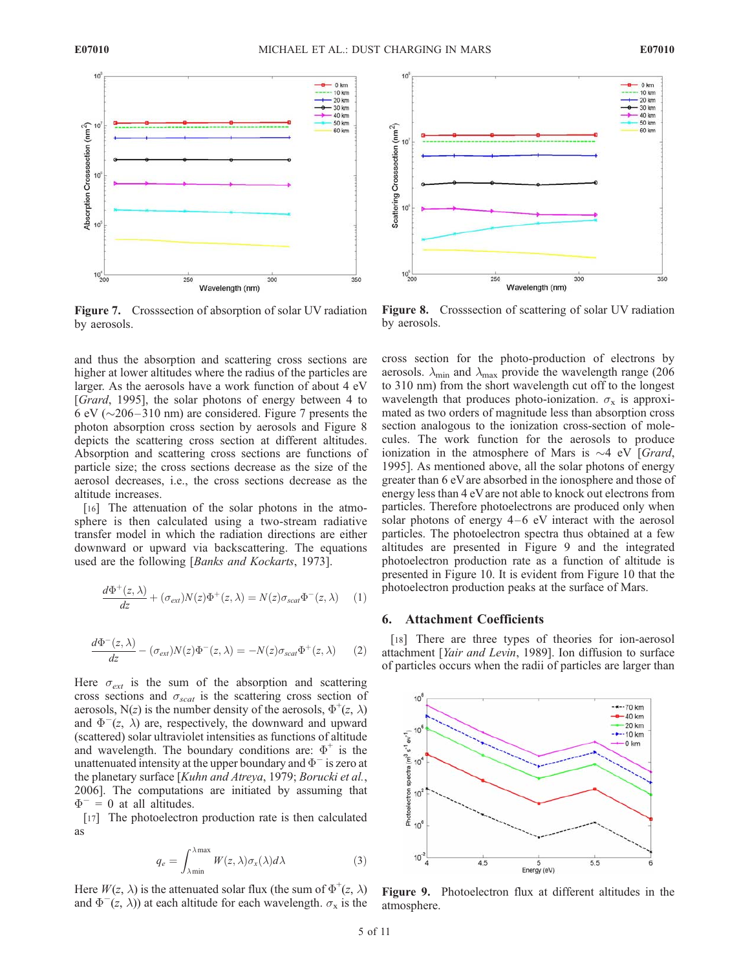

Figure 7. Crosssection of absorption of solar UV radiation by aerosols.

and thus the absorption and scattering cross sections are higher at lower altitudes where the radius of the particles are larger. As the aerosols have a work function of about 4 eV [*Grard*, 1995], the solar photons of energy between 4 to 6 eV ( $\sim$ 206–310 nm) are considered. Figure 7 presents the photon absorption cross section by aerosols and Figure 8 depicts the scattering cross section at different altitudes. Absorption and scattering cross sections are functions of particle size; the cross sections decrease as the size of the aerosol decreases, i.e., the cross sections decrease as the altitude increases.

[16] The attenuation of the solar photons in the atmosphere is then calculated using a two-stream radiative transfer model in which the radiation directions are either downward or upward via backscattering. The equations used are the following [*Banks and Kockarts*, 1973].

$$
\frac{d\Phi^+(z,\lambda)}{dz} + (\sigma_{ext})N(z)\Phi^+(z,\lambda) = N(z)\sigma_{scat}\Phi^-(z,\lambda)
$$
 (1)

$$
\frac{d\Phi^{-}(z,\lambda)}{dz}-(\sigma_{ext})N(z)\Phi^{-}(z,\lambda)=-N(z)\sigma_{scat}\Phi^{+}(z,\lambda)\qquad (2)
$$

Here  $\sigma_{ext}$  is the sum of the absorption and scattering cross sections and  $\sigma_{scat}$  is the scattering cross section of aerosols, N(z) is the number density of the aerosols,  $\Phi^+(z, \lambda)$ and  $\Phi^{-}(z, \lambda)$  are, respectively, the downward and upward (scattered) solar ultraviolet intensities as functions of altitude and wavelength. The boundary conditions are:  $\Phi^+$  is the unattenuated intensity at the upper boundary and  $\Phi^-$  is zero at the planetary surface [Kuhn and Atreya, 1979; Borucki et al., 2006]. The computations are initiated by assuming that  $\Phi^- = 0$  at all altitudes.

[17] The photoelectron production rate is then calculated as

$$
q_e = \int_{\lambda \min}^{\lambda \max} W(z, \lambda) \sigma_x(\lambda) d\lambda \tag{3}
$$

Here  $W(z, \lambda)$  is the attenuated solar flux (the sum of  $\Phi^+(z, \lambda)$ and  $\Phi^-(z, \lambda)$ ) at each altitude for each wavelength.  $\sigma_x$  is the



Figure 8. Crosssection of scattering of solar UV radiation by aerosols.

cross section for the photo-production of electrons by aerosols.  $\lambda_{\text{min}}$  and  $\lambda_{\text{max}}$  provide the wavelength range (206) to 310 nm) from the short wavelength cut off to the longest wavelength that produces photo-ionization.  $\sigma_x$  is approximated as two orders of magnitude less than absorption cross section analogous to the ionization cross-section of molecules. The work function for the aerosols to produce ionization in the atmosphere of Mars is  $\sim$ 4 eV [Grard, 1995]. As mentioned above, all the solar photons of energy greater than 6 eV are absorbed in the ionosphere and those of energy less than 4 eVare not able to knock out electrons from particles. Therefore photoelectrons are produced only when solar photons of energy  $4-6$  eV interact with the aerosol particles. The photoelectron spectra thus obtained at a few altitudes are presented in Figure 9 and the integrated photoelectron production rate as a function of altitude is presented in Figure 10. It is evident from Figure 10 that the photoelectron production peaks at the surface of Mars.

#### 6. Attachment Coefficients

[18] There are three types of theories for ion-aerosol attachment [Yair and Levin, 1989]. Ion diffusion to surface of particles occurs when the radii of particles are larger than



Figure 9. Photoelectron flux at different altitudes in the atmosphere.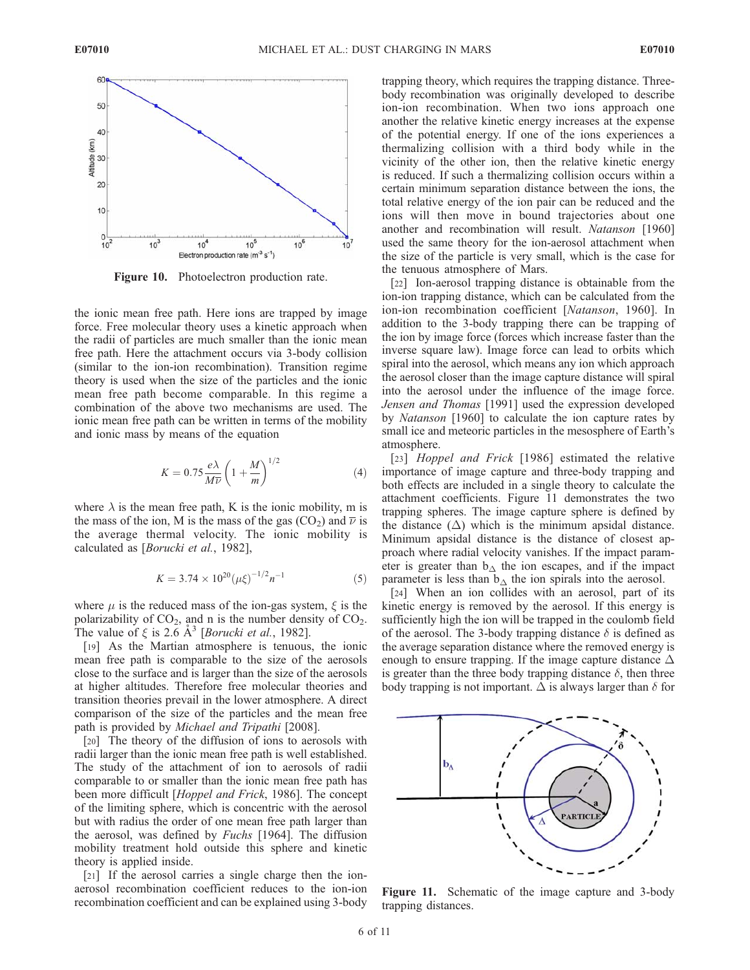

Figure 10. Photoelectron production rate.

the ionic mean free path. Here ions are trapped by image force. Free molecular theory uses a kinetic approach when the radii of particles are much smaller than the ionic mean free path. Here the attachment occurs via 3-body collision (similar to the ion-ion recombination). Transition regime theory is used when the size of the particles and the ionic mean free path become comparable. In this regime a combination of the above two mechanisms are used. The ionic mean free path can be written in terms of the mobility and ionic mass by means of the equation

$$
K = 0.75 \frac{e\lambda}{M\overline{\nu}} \left( 1 + \frac{M}{m} \right)^{1/2}
$$
 (4)

where  $\lambda$  is the mean free path, K is the ionic mobility, m is the mass of the ion, M is the mass of the gas (CO<sub>2</sub>) and  $\overline{\nu}$  is the average thermal velocity. The ionic mobility is calculated as [Borucki et al., 1982],

$$
K = 3.74 \times 10^{20} (\mu \xi)^{-1/2} n^{-1}
$$
 (5)

where  $\mu$  is the reduced mass of the ion-gas system,  $\xi$  is the polarizability of  $CO<sub>2</sub>$ , and n is the number density of  $CO<sub>2</sub>$ . The value of  $\xi$  is 2.6  $A^3$  [*Borucki et al.*, 1982].

[19] As the Martian atmosphere is tenuous, the ionic mean free path is comparable to the size of the aerosols close to the surface and is larger than the size of the aerosols at higher altitudes. Therefore free molecular theories and transition theories prevail in the lower atmosphere. A direct comparison of the size of the particles and the mean free path is provided by Michael and Tripathi [2008].

[20] The theory of the diffusion of ions to aerosols with radii larger than the ionic mean free path is well established. The study of the attachment of ion to aerosols of radii comparable to or smaller than the ionic mean free path has been more difficult [Hoppel and Frick, 1986]. The concept of the limiting sphere, which is concentric with the aerosol but with radius the order of one mean free path larger than the aerosol, was defined by *Fuchs* [1964]. The diffusion mobility treatment hold outside this sphere and kinetic theory is applied inside.

[21] If the aerosol carries a single charge then the ionaerosol recombination coefficient reduces to the ion-ion recombination coefficient and can be explained using 3-body trapping theory, which requires the trapping distance. Threebody recombination was originally developed to describe ion-ion recombination. When two ions approach one another the relative kinetic energy increases at the expense of the potential energy. If one of the ions experiences a thermalizing collision with a third body while in the vicinity of the other ion, then the relative kinetic energy is reduced. If such a thermalizing collision occurs within a certain minimum separation distance between the ions, the total relative energy of the ion pair can be reduced and the ions will then move in bound trajectories about one another and recombination will result. Natanson [1960] used the same theory for the ion-aerosol attachment when the size of the particle is very small, which is the case for the tenuous atmosphere of Mars.

[22] Ion-aerosol trapping distance is obtainable from the ion-ion trapping distance, which can be calculated from the ion-ion recombination coefficient [Natanson, 1960]. In addition to the 3-body trapping there can be trapping of the ion by image force (forces which increase faster than the inverse square law). Image force can lead to orbits which spiral into the aerosol, which means any ion which approach the aerosol closer than the image capture distance will spiral into the aerosol under the influence of the image force. Jensen and Thomas [1991] used the expression developed by *Natanson* [1960] to calculate the ion capture rates by small ice and meteoric particles in the mesosphere of Earth's atmosphere.

[23] Hoppel and Frick [1986] estimated the relative importance of image capture and three-body trapping and both effects are included in a single theory to calculate the attachment coefficients. Figure 11 demonstrates the two trapping spheres. The image capture sphere is defined by the distance  $(\Delta)$  which is the minimum apsidal distance. Minimum apsidal distance is the distance of closest approach where radial velocity vanishes. If the impact parameter is greater than  $b_{\Delta}$  the ion escapes, and if the impact parameter is less than  $b_{\Delta}$  the ion spirals into the aerosol.

[24] When an ion collides with an aerosol, part of its kinetic energy is removed by the aerosol. If this energy is sufficiently high the ion will be trapped in the coulomb field of the aerosol. The 3-body trapping distance  $\delta$  is defined as the average separation distance where the removed energy is enough to ensure trapping. If the image capture distance  $\Delta$ is greater than the three body trapping distance  $\delta$ , then three body trapping is not important.  $\Delta$  is always larger than  $\delta$  for



Figure 11. Schematic of the image capture and 3-body trapping distances.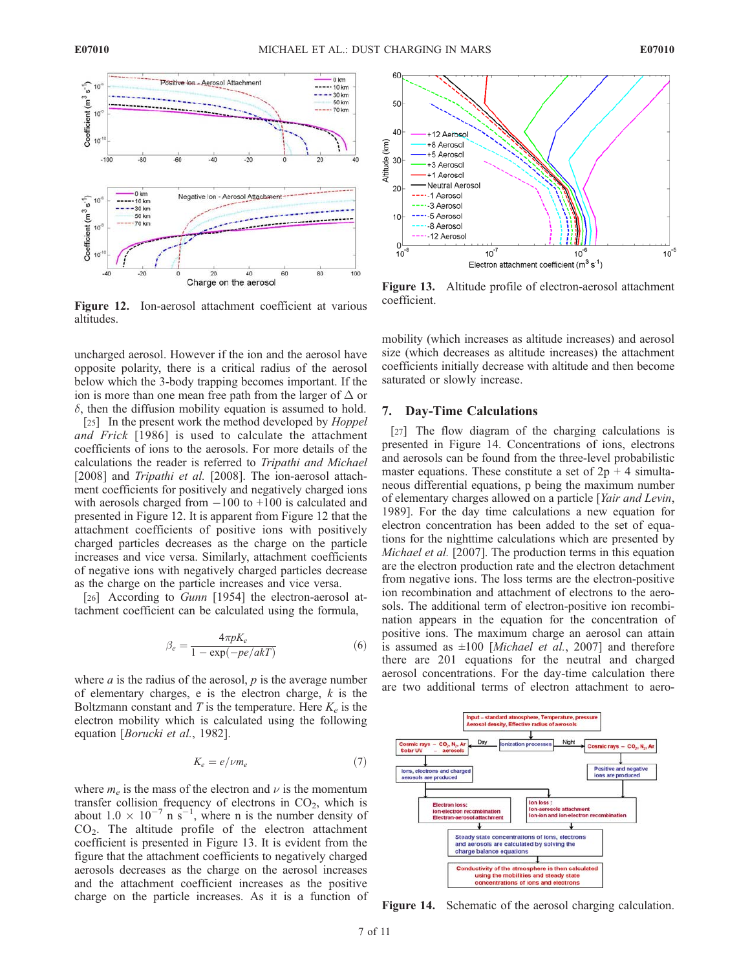

Figure 12. Ion-aerosol attachment coefficient at various altitudes.

uncharged aerosol. However if the ion and the aerosol have opposite polarity, there is a critical radius of the aerosol below which the 3-body trapping becomes important. If the ion is more than one mean free path from the larger of  $\Delta$  or  $\delta$ , then the diffusion mobility equation is assumed to hold.

[25] In the present work the method developed by *Hoppel* and Frick [1986] is used to calculate the attachment coefficients of ions to the aerosols. For more details of the calculations the reader is referred to Tripathi and Michael [2008] and Tripathi et al. [2008]. The ion-aerosol attachment coefficients for positively and negatively charged ions with aerosols charged from  $-100$  to  $+100$  is calculated and presented in Figure 12. It is apparent from Figure 12 that the attachment coefficients of positive ions with positively charged particles decreases as the charge on the particle increases and vice versa. Similarly, attachment coefficients of negative ions with negatively charged particles decrease as the charge on the particle increases and vice versa.

[26] According to *Gunn* [1954] the electron-aerosol attachment coefficient can be calculated using the formula,

$$
\beta_e = \frac{4\pi pK_e}{1 - \exp(-pe/akT)}\tag{6}
$$

where  $a$  is the radius of the aerosol,  $p$  is the average number of elementary charges, e is the electron charge,  $k$  is the Boltzmann constant and T is the temperature. Here  $K_e$  is the electron mobility which is calculated using the following equation [Borucki et al., 1982].

$$
K_e = e/\nu m_e \tag{7}
$$

where  $m_e$  is the mass of the electron and  $\nu$  is the momentum transfer collision frequency of electrons in  $CO<sub>2</sub>$ , which is about  $1.0 \times 10^{-7}$  n s<sup>-1</sup>, where n is the number density of CO2. The altitude profile of the electron attachment coefficient is presented in Figure 13. It is evident from the figure that the attachment coefficients to negatively charged aerosols decreases as the charge on the aerosol increases and the attachment coefficient increases as the positive charge on the particle increases. As it is a function of



Figure 13. Altitude profile of electron-aerosol attachment coefficient.

mobility (which increases as altitude increases) and aerosol size (which decreases as altitude increases) the attachment coefficients initially decrease with altitude and then become saturated or slowly increase.

# 7. Day-Time Calculations

[27] The flow diagram of the charging calculations is presented in Figure 14. Concentrations of ions, electrons and aerosols can be found from the three-level probabilistic master equations. These constitute a set of  $2p + 4$  simultaneous differential equations, p being the maximum number of elementary charges allowed on a particle [Yair and Levin, 1989]. For the day time calculations a new equation for electron concentration has been added to the set of equations for the nighttime calculations which are presented by Michael et al. [2007]. The production terms in this equation are the electron production rate and the electron detachment from negative ions. The loss terms are the electron-positive ion recombination and attachment of electrons to the aerosols. The additional term of electron-positive ion recombination appears in the equation for the concentration of positive ions. The maximum charge an aerosol can attain is assumed as  $\pm 100$  [Michael et al., 2007] and therefore there are 201 equations for the neutral and charged aerosol concentrations. For the day-time calculation there are two additional terms of electron attachment to aero-



Figure 14. Schematic of the aerosol charging calculation.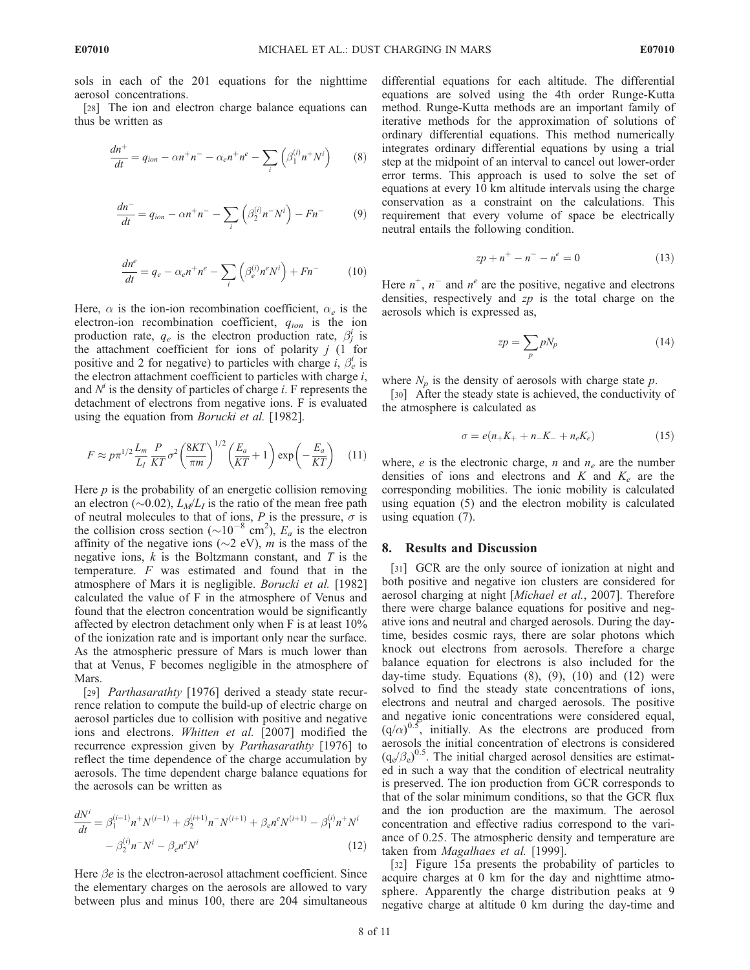sols in each of the 201 equations for the nighttime aerosol concentrations.

[28] The ion and electron charge balance equations can thus be written as

$$
\frac{dn^{+}}{dt} = q_{ion} - \alpha n^{+} n^{-} - \alpha_{e} n^{+} n^{e} - \sum_{i} \left( \beta_{1}^{(i)} n^{+} N^{i} \right) \tag{8}
$$

$$
\frac{dn^{-}}{dt} = q_{ion} - \alpha n^{+} n^{-} - \sum_{i} \left( \beta_2^{(i)} n^{-} N^{i} \right) - F n^{-} \tag{9}
$$

$$
\frac{dn^e}{dt} = q_e - \alpha_e n^+ n^e - \sum_i \left( \beta_e^{(i)} n^e N^i \right) + F n^- \tag{10}
$$

Here,  $\alpha$  is the ion-ion recombination coefficient,  $\alpha_e$  is the electron-ion recombination coefficient,  $q_{ion}$  is the ion production rate,  $q_e$  is the electron production rate,  $\beta_j^i$  is the attachment coefficient for ions of polarity  $j$  (1 for positive and 2 for negative) to particles with charge i,  $\beta_e^i$  is the electron attachment coefficient to particles with charge  $i$ , and  $N^i$  is the density of particles of charge *i*. F represents the detachment of electrons from negative ions. F is evaluated using the equation from *Borucki et al.* [1982].

$$
F \approx p\pi^{1/2} \frac{L_m}{L_I} \frac{P}{KT} \sigma^2 \left(\frac{8KT}{\pi m}\right)^{1/2} \left(\frac{E_a}{KT} + 1\right) \exp\left(-\frac{E_a}{KT}\right) \tag{11}
$$

Here  $p$  is the probability of an energetic collision removing an electron ( $\sim$ 0.02),  $L_M/L_I$  is the ratio of the mean free path of neutral molecules to that of ions,  $P$  is the pressure,  $\sigma$  is the collision cross section ( $\sim 10^{-8}$  cm<sup>2</sup>),  $E_a$  is the electron affinity of the negative ions ( $\sim$ 2 eV), *m* is the mass of the negative ions,  $k$  is the Boltzmann constant, and  $T$  is the temperature.  $F$  was estimated and found that in the atmosphere of Mars it is negligible. Borucki et al. [1982] calculated the value of F in the atmosphere of Venus and found that the electron concentration would be significantly affected by electron detachment only when F is at least 10% of the ionization rate and is important only near the surface. As the atmospheric pressure of Mars is much lower than that at Venus, F becomes negligible in the atmosphere of Mars.

[29] Parthasarathty [1976] derived a steady state recurrence relation to compute the build-up of electric charge on aerosol particles due to collision with positive and negative ions and electrons. Whitten et al. [2007] modified the recurrence expression given by *Parthasarathty* [1976] to reflect the time dependence of the charge accumulation by aerosols. The time dependent charge balance equations for the aerosols can be written as

$$
\frac{dN^i}{dt} = \beta_1^{(i-1)}n^+N^{(i-1)} + \beta_2^{(i+1)}n^-N^{(i+1)} + \beta_e n^e N^{(i+1)} - \beta_1^{(i)}n^+N^i
$$
  
-  $\beta_2^{(i)}n^-N^i - \beta_e n^e N^i$  (12)

Here  $\beta e$  is the electron-aerosol attachment coefficient. Since the elementary charges on the aerosols are allowed to vary between plus and minus 100, there are 204 simultaneous differential equations for each altitude. The differential equations are solved using the 4th order Runge-Kutta method. Runge-Kutta methods are an important family of iterative methods for the approximation of solutions of ordinary differential equations. This method numerically integrates ordinary differential equations by using a trial step at the midpoint of an interval to cancel out lower-order error terms. This approach is used to solve the set of equations at every 10 km altitude intervals using the charge conservation as a constraint on the calculations. This requirement that every volume of space be electrically neutral entails the following condition.

$$
zp + n^{+} - n^{-} - n^{e} = 0
$$
 (13)

Here  $n^+$ ,  $n^-$  and  $n^e$  are the positive, negative and electrons densities, respectively and  $zp$  is the total charge on the aerosols which is expressed as,

$$
zp = \sum_{p} pN_p \tag{14}
$$

where  $N_p$  is the density of aerosols with charge state p.

[30] After the steady state is achieved, the conductivity of the atmosphere is calculated as

$$
\sigma = e(n_+K_+ + n_-K_- + n_eK_e) \tag{15}
$$

where,  $e$  is the electronic charge,  $n$  and  $n_e$  are the number densities of ions and electrons and  $K$  and  $K_e$  are the corresponding mobilities. The ionic mobility is calculated using equation (5) and the electron mobility is calculated using equation (7).

#### 8. Results and Discussion

[31] GCR are the only source of ionization at night and both positive and negative ion clusters are considered for aerosol charging at night [Michael et al., 2007]. Therefore there were charge balance equations for positive and negative ions and neutral and charged aerosols. During the daytime, besides cosmic rays, there are solar photons which knock out electrons from aerosols. Therefore a charge balance equation for electrons is also included for the day-time study. Equations  $(8)$ ,  $(9)$ ,  $(10)$  and  $(12)$  were solved to find the steady state concentrations of ions, electrons and neutral and charged aerosols. The positive and negative ionic concentrations were considered equal,  $(q/\alpha)^{0.5}$ , initially. As the electrons are produced from aerosols the initial concentration of electrons is considered  $(q_e/\beta_e)^{0.5}$ . The initial charged aerosol densities are estimated in such a way that the condition of electrical neutrality is preserved. The ion production from GCR corresponds to that of the solar minimum conditions, so that the GCR flux and the ion production are the maximum. The aerosol concentration and effective radius correspond to the variance of 0.25. The atmospheric density and temperature are taken from Magalhaes et al. [1999].

[32] Figure 15a presents the probability of particles to acquire charges at 0 km for the day and nighttime atmosphere. Apparently the charge distribution peaks at 9 negative charge at altitude 0 km during the day-time and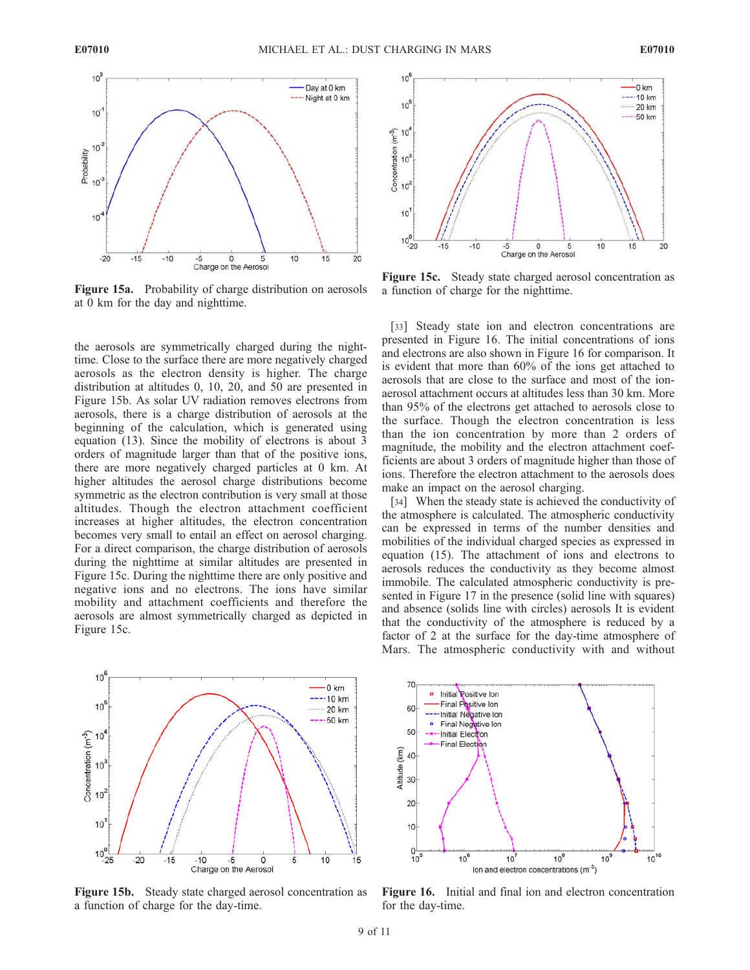

Figure 15a. Probability of charge distribution on aerosols at 0 km for the day and nighttime.

the aerosols are symmetrically charged during the nighttime. Close to the surface there are more negatively charged aerosols as the electron density is higher. The charge distribution at altitudes 0, 10, 20, and 50 are presented in Figure 15b. As solar UV radiation removes electrons from aerosols, there is a charge distribution of aerosols at the beginning of the calculation, which is generated using equation (13). Since the mobility of electrons is about 3 orders of magnitude larger than that of the positive ions, there are more negatively charged particles at 0 km. At higher altitudes the aerosol charge distributions become symmetric as the electron contribution is very small at those altitudes. Though the electron attachment coefficient increases at higher altitudes, the electron concentration becomes very small to entail an effect on aerosol charging. For a direct comparison, the charge distribution of aerosols during the nighttime at similar altitudes are presented in Figure 15c. During the nighttime there are only positive and negative ions and no electrons. The ions have similar mobility and attachment coefficients and therefore the aerosols are almost symmetrically charged as depicted in Figure 15c.



Figure 15b. Steady state charged aerosol concentration as a function of charge for the day-time.



Figure 15c. Steady state charged aerosol concentration as a function of charge for the nighttime.

[33] Steady state ion and electron concentrations are presented in Figure 16. The initial concentrations of ions and electrons are also shown in Figure 16 for comparison. It is evident that more than 60% of the ions get attached to aerosols that are close to the surface and most of the ionaerosol attachment occurs at altitudes less than 30 km. More than 95% of the electrons get attached to aerosols close to the surface. Though the electron concentration is less than the ion concentration by more than 2 orders of magnitude, the mobility and the electron attachment coefficients are about 3 orders of magnitude higher than those of ions. Therefore the electron attachment to the aerosols does make an impact on the aerosol charging.

[34] When the steady state is achieved the conductivity of the atmosphere is calculated. The atmospheric conductivity can be expressed in terms of the number densities and mobilities of the individual charged species as expressed in equation (15). The attachment of ions and electrons to aerosols reduces the conductivity as they become almost immobile. The calculated atmospheric conductivity is presented in Figure 17 in the presence (solid line with squares) and absence (solids line with circles) aerosols It is evident that the conductivity of the atmosphere is reduced by a factor of 2 at the surface for the day-time atmosphere of Mars. The atmospheric conductivity with and without



Figure 16. Initial and final ion and electron concentration for the day-time.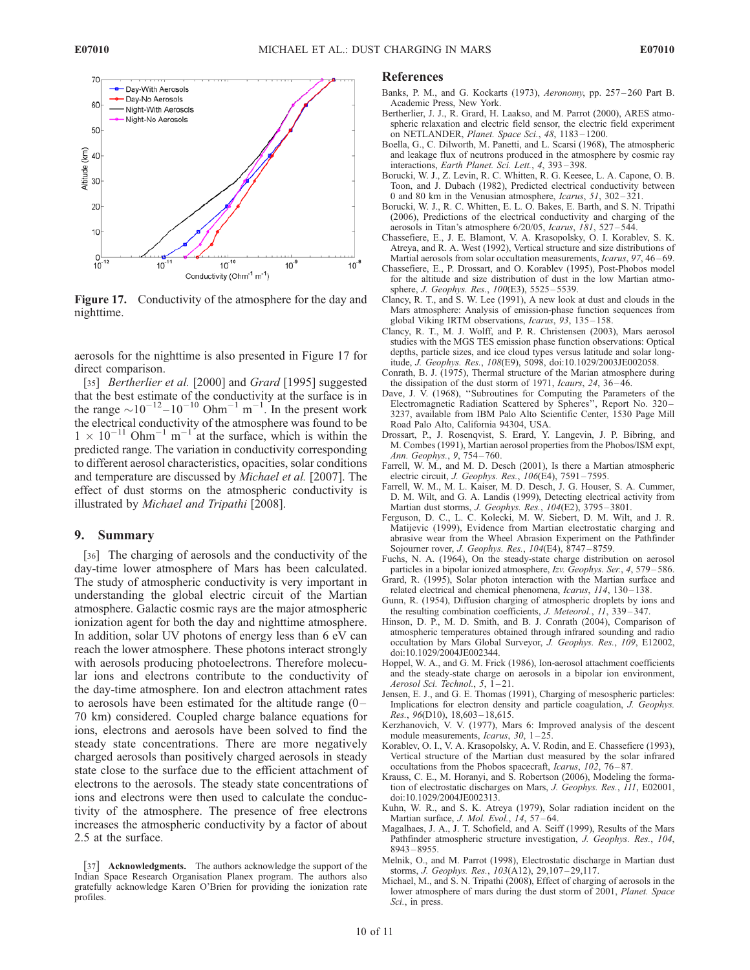

Figure 17. Conductivity of the atmosphere for the day and nighttime.

aerosols for the nighttime is also presented in Figure 17 for direct comparison.

[35] *Bertherlier et al.* [2000] and *Grard* [1995] suggested that the best estimate of the conductivity at the surface is in the range  $\sim 10^{-12} - 10^{-10}$  Ohm<sup>-1</sup> m<sup>-1</sup>. In the present work the electrical conductivity of the atmosphere was found to be  $1 \times 10^{-11}$  Ohm<sup>-1</sup> m<sup>-1</sup> at the surface, which is within the predicted range. The variation in conductivity corresponding to different aerosol characteristics, opacities, solar conditions and temperature are discussed by Michael et al. [2007]. The effect of dust storms on the atmospheric conductivity is illustrated by Michael and Tripathi [2008].

# 9. Summary

[36] The charging of aerosols and the conductivity of the day-time lower atmosphere of Mars has been calculated. The study of atmospheric conductivity is very important in understanding the global electric circuit of the Martian atmosphere. Galactic cosmic rays are the major atmospheric ionization agent for both the day and nighttime atmosphere. In addition, solar UV photons of energy less than 6 eV can reach the lower atmosphere. These photons interact strongly with aerosols producing photoelectrons. Therefore molecular ions and electrons contribute to the conductivity of the day-time atmosphere. Ion and electron attachment rates to aerosols have been estimated for the altitude range  $(0 -$ 70 km) considered. Coupled charge balance equations for ions, electrons and aerosols have been solved to find the steady state concentrations. There are more negatively charged aerosols than positively charged aerosols in steady state close to the surface due to the efficient attachment of electrons to the aerosols. The steady state concentrations of ions and electrons were then used to calculate the conductivity of the atmosphere. The presence of free electrons increases the atmospheric conductivity by a factor of about 2.5 at the surface.

#### References

- Banks, P. M., and G. Kockarts (1973), Aeronomy, pp. 257 260 Part B. Academic Press, New York.
- Bertherlier, J. J., R. Grard, H. Laakso, and M. Parrot (2000), ARES atmospheric relaxation and electric field sensor, the electric field experiment on NETLANDER, Planet. Space Sci., 48, 1183 – 1200.
- Boella, G., C. Dilworth, M. Panetti, and L. Scarsi (1968), The atmospheric and leakage flux of neutrons produced in the atmosphere by cosmic ray interactions, Earth Planet. Sci. Lett., 4, 393 – 398.
- Borucki, W. J., Z. Levin, R. C. Whitten, R. G. Keesee, L. A. Capone, O. B. Toon, and J. Dubach (1982), Predicted electrical conductivity between 0 and 80 km in the Venusian atmosphere, Icarus, 51, 302 – 321.
- Borucki, W. J., R. C. Whitten, E. L. O. Bakes, E. Barth, and S. N. Tripathi (2006), Predictions of the electrical conductivity and charging of the aerosols in Titan's atmosphere 6/20/05, Icarus, 181, 527 – 544.
- Chassefiere, E., J. E. Blamont, V. A. Krasopolsky, O. I. Korablev, S. K. Atreya, and R. A. West (1992), Vertical structure and size distributions of Martial aerosols from solar occultation measurements, Icarus, 97, 46–69.
- Chassefiere, E., P. Drossart, and O. Korablev (1995), Post-Phobos model for the altitude and size distribution of dust in the low Martian atmosphere, J. Geophys. Res., 100(E3), 5525-5539.
- Clancy, R. T., and S. W. Lee (1991), A new look at dust and clouds in the Mars atmosphere: Analysis of emission-phase function sequences from global Viking IRTM observations, Icarus, 93, 135-158.
- Clancy, R. T., M. J. Wolff, and P. R. Christensen (2003), Mars aerosol studies with the MGS TES emission phase function observations: Optical depths, particle sizes, and ice cloud types versus latitude and solar longitude, J. Geophys. Res., 108(E9), 5098, doi:10.1029/2003JE002058.
- Conrath, B. J. (1975), Thermal structure of the Marian atmosphere during the dissipation of the dust storm of 1971, Icaurs, 24, 36–46.
- Dave, J. V. (1968), "Subroutines for Computing the Parameters of the Electromagnetic Radiation Scattered by Spheres'', Report No. 320 – 3237, available from IBM Palo Alto Scientific Center, 1530 Page Mill Road Palo Alto, California 94304, USA.
- Drossart, P., J. Rosenqvist, S. Erard, Y. Langevin, J. P. Bibring, and M. Combes (1991), Martian aerosol properties from the Phobos/ISM expt, Ann. Geophys., 9, 754 – 760.
- Farrell, W. M., and M. D. Desch (2001), Is there a Martian atmospheric electric circuit, J. Geophys. Res., 106(E4), 7591-7595.
- Farrell, W. M., M. L. Kaiser, M. D. Desch, J. G. Houser, S. A. Cummer, D. M. Wilt, and G. A. Landis (1999), Detecting electrical activity from Martian dust storms, J. Geophys. Res., 104(E2), 3795 – 3801.
- Ferguson, D. C., L. C. Kolecki, M. W. Siebert, D. M. Wilt, and J. R. Matijevic (1999), Evidence from Martian electrostatic charging and abrasive wear from the Wheel Abrasion Experiment on the Pathfinder Sojourner rover, *J. Geophys. Res.*, 104(E4), 8747-8759.
- Fuchs, N. A. (1964), On the steady-state charge distribution on aerosol particles in a bipolar ionized atmosphere, Izv. Geophys. Ser., 4, 579-586.
- Grard, R. (1995), Solar photon interaction with the Martian surface and related electrical and chemical phenomena, Icarus, 114, 130-138.
- Gunn, R. (1954), Diffusion charging of atmospheric droplets by ions and the resulting combination coefficients, *J. Meteorol.*, 11, 339–347.
- Hinson, D. P., M. D. Smith, and B. J. Conrath (2004), Comparison of atmospheric temperatures obtained through infrared sounding and radio occultation by Mars Global Surveyor, J. Geophys. Res., 109, E12002, doi:10.1029/2004JE002344.
- Hoppel, W. A., and G. M. Frick (1986), Ion-aerosol attachment coefficients and the steady-state charge on aerosols in a bipolar ion environment, Aerosol Sci. Technol., 5, 1 – 21.
- Jensen, E. J., and G. E. Thomas (1991), Charging of mesospheric particles: Implications for electron density and particle coagulation, J. Geophys.  $Res.$ , 96(D10), 18,603 – 18,615.
- Kerzhanovich, V. V. (1977), Mars 6: Improved analysis of the descent module measurements, Icarus, 30, 1-25.
- Korablev, O. I., V. A. Krasopolsky, A. V. Rodin, and E. Chassefiere (1993), Vertical structure of the Martian dust measured by the solar infrared occultations from the Phobos spacecraft, Icarus, 102, 76-87.
- Krauss, C. E., M. Horanyi, and S. Robertson (2006), Modeling the formation of electrostatic discharges on Mars, J. Geophys. Res., 111, E02001, doi:10.1029/2004JE002313.
- Kuhn, W. R., and S. K. Atreya (1979), Solar radiation incident on the Martian surface, J. Mol. Evol., 14, 57-64.
- Magalhaes, J. A., J. T. Schofield, and A. Seiff (1999), Results of the Mars Pathfinder atmospheric structure investigation, J. Geophys. Res., 104, 8943 – 8955.
- Melnik, O., and M. Parrot (1998), Electrostatic discharge in Martian dust storms, *J. Geophys. Res.*,  $103(A12)$ , 29,107-29,117.
- Michael, M., and S. N. Tripathi (2008), Effect of charging of aerosols in the lower atmosphere of mars during the dust storm of 2001, Planet. Space Sci., in press.

<sup>[37]</sup> **Acknowledgments.** The authors acknowledge the support of the Indian Space Research Organisation Planex program. The authors also gratefully acknowledge Karen O'Brien for providing the ionization rate profiles.